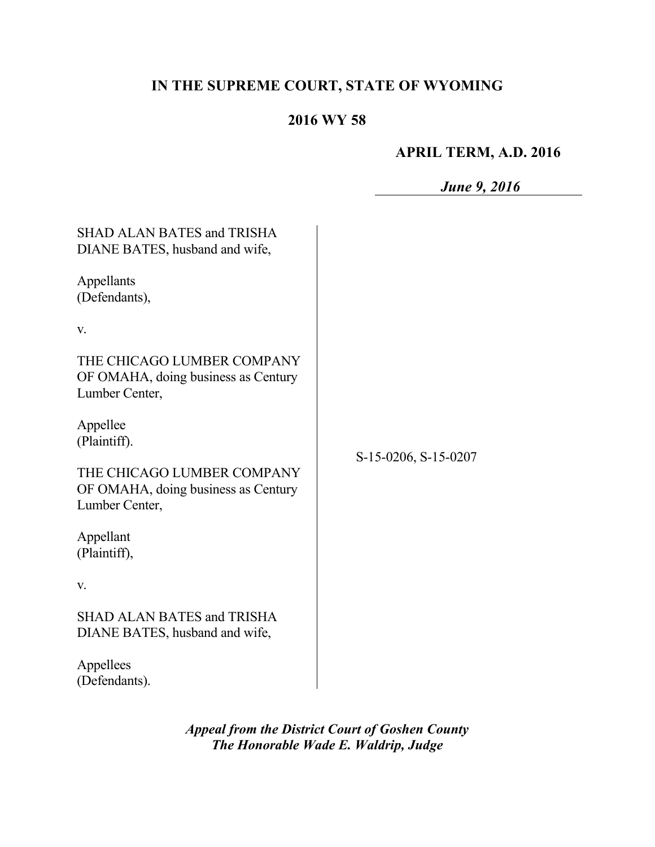# **IN THE SUPREME COURT, STATE OF WYOMING**

# **2016 WY 58**

## **APRIL TERM, A.D. 2016**

|                                                                                     | <b>June 9, 2016</b>  |
|-------------------------------------------------------------------------------------|----------------------|
| <b>SHAD ALAN BATES and TRISHA</b><br>DIANE BATES, husband and wife,                 | S-15-0206, S-15-0207 |
| Appellants<br>(Defendants),                                                         |                      |
| V.                                                                                  |                      |
| THE CHICAGO LUMBER COMPANY<br>OF OMAHA, doing business as Century<br>Lumber Center, |                      |
| Appellee<br>(Plaintiff).                                                            |                      |
| THE CHICAGO LUMBER COMPANY<br>OF OMAHA, doing business as Century<br>Lumber Center, |                      |
| Appellant<br>(Plaintiff),                                                           |                      |
| V.                                                                                  |                      |
| <b>SHAD ALAN BATES and TRISHA</b><br>DIANE BATES, husband and wife,                 |                      |
| Appellees<br>(Defendants).                                                          |                      |

*Appeal from the District Court of Goshen County The Honorable Wade E. Waldrip, Judge*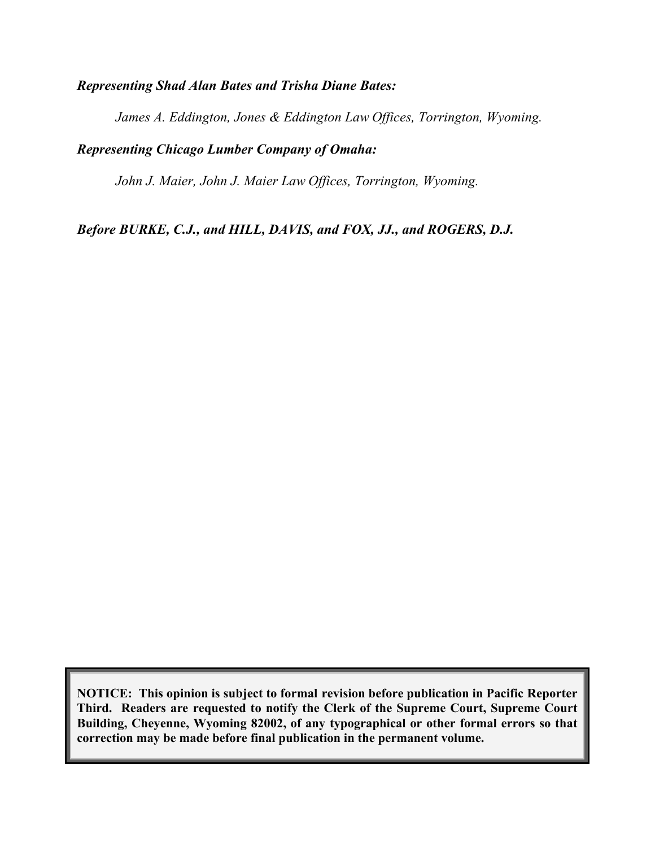#### *Representing Shad Alan Bates and Trisha Diane Bates:*

*James A. Eddington, Jones & Eddington Law Offices, Torrington, Wyoming.* 

### *Representing Chicago Lumber Company of Omaha:*

*John J. Maier, John J. Maier Law Offices, Torrington, Wyoming.*

*Before BURKE, C.J., and HILL, DAVIS, and FOX, JJ., and ROGERS, D.J.*

**NOTICE: This opinion is subject to formal revision before publication in Pacific Reporter Third. Readers are requested to notify the Clerk of the Supreme Court, Supreme Court Building, Cheyenne, Wyoming 82002, of any typographical or other formal errors so that correction may be made before final publication in the permanent volume.**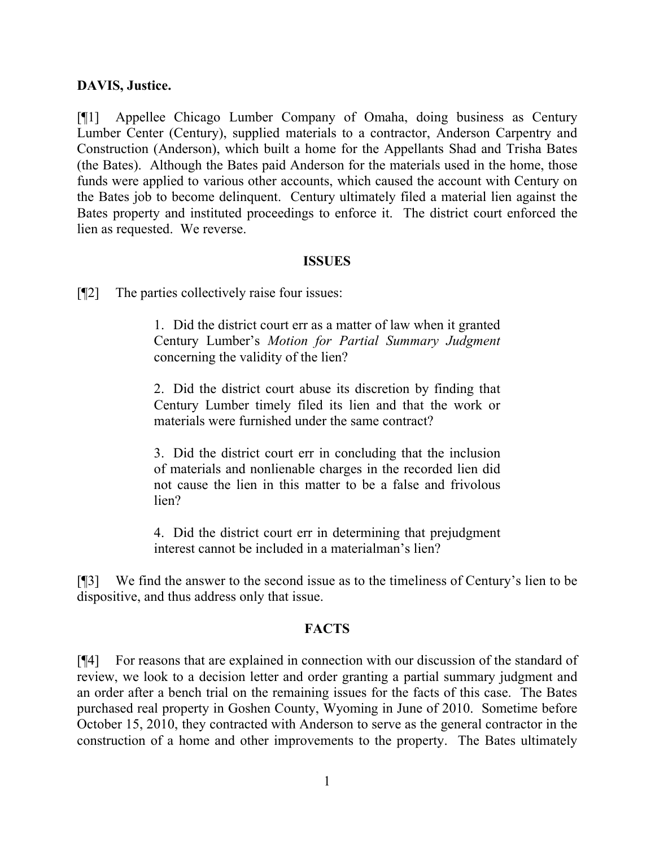#### **DAVIS, Justice.**

[¶1] Appellee Chicago Lumber Company of Omaha, doing business as Century Lumber Center (Century), supplied materials to a contractor, Anderson Carpentry and Construction (Anderson), which built a home for the Appellants Shad and Trisha Bates (the Bates). Although the Bates paid Anderson for the materials used in the home, those funds were applied to various other accounts, which caused the account with Century on the Bates job to become delinquent. Century ultimately filed a material lien against the Bates property and instituted proceedings to enforce it. The district court enforced the lien as requested. We reverse.

#### **ISSUES**

[¶2] The parties collectively raise four issues:

1. Did the district court err as a matter of law when it granted Century Lumber's *Motion for Partial Summary Judgment* concerning the validity of the lien?

2. Did the district court abuse its discretion by finding that Century Lumber timely filed its lien and that the work or materials were furnished under the same contract?

3. Did the district court err in concluding that the inclusion of materials and nonlienable charges in the recorded lien did not cause the lien in this matter to be a false and frivolous lien?

4. Did the district court err in determining that prejudgment interest cannot be included in a materialman's lien?

[¶3] We find the answer to the second issue as to the timeliness of Century's lien to be dispositive, and thus address only that issue.

#### **FACTS**

[¶4] For reasons that are explained in connection with our discussion of the standard of review, we look to a decision letter and order granting a partial summary judgment and an order after a bench trial on the remaining issues for the facts of this case. The Bates purchased real property in Goshen County, Wyoming in June of 2010. Sometime before October 15, 2010, they contracted with Anderson to serve as the general contractor in the construction of a home and other improvements to the property. The Bates ultimately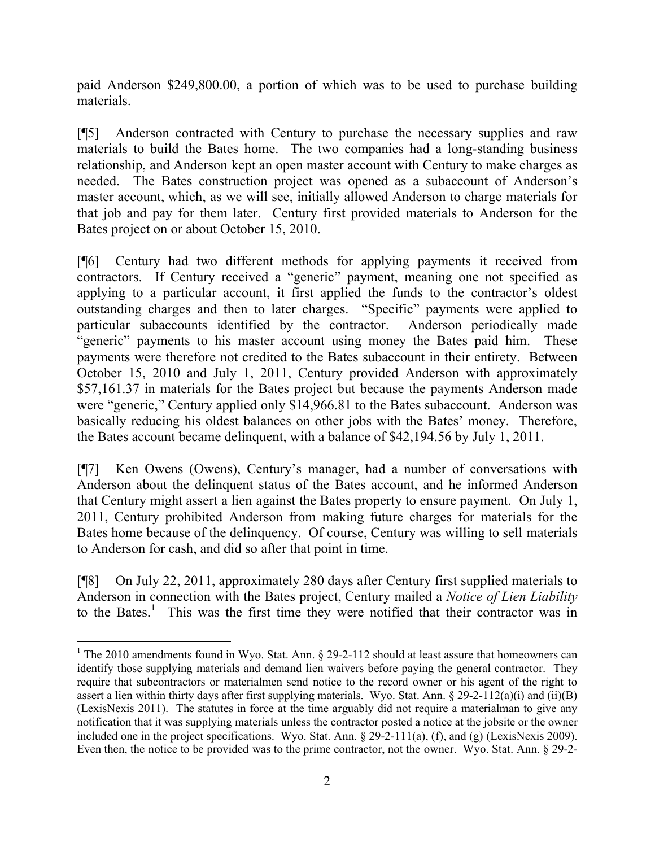paid Anderson \$249,800.00, a portion of which was to be used to purchase building materials.

[¶5] Anderson contracted with Century to purchase the necessary supplies and raw materials to build the Bates home. The two companies had a long-standing business relationship, and Anderson kept an open master account with Century to make charges as needed. The Bates construction project was opened as a subaccount of Anderson's master account, which, as we will see, initially allowed Anderson to charge materials for that job and pay for them later. Century first provided materials to Anderson for the Bates project on or about October 15, 2010.

[¶6] Century had two different methods for applying payments it received from contractors. If Century received a "generic" payment, meaning one not specified as applying to a particular account, it first applied the funds to the contractor's oldest outstanding charges and then to later charges. "Specific" payments were applied to particular subaccounts identified by the contractor. Anderson periodically made "generic" payments to his master account using money the Bates paid him. These payments were therefore not credited to the Bates subaccount in their entirety. Between October 15, 2010 and July 1, 2011, Century provided Anderson with approximately \$57,161.37 in materials for the Bates project but because the payments Anderson made were "generic," Century applied only \$14,966.81 to the Bates subaccount. Anderson was basically reducing his oldest balances on other jobs with the Bates' money. Therefore, the Bates account became delinquent, with a balance of \$42,194.56 by July 1, 2011.

[¶7] Ken Owens (Owens), Century's manager, had a number of conversations with Anderson about the delinquent status of the Bates account, and he informed Anderson that Century might assert a lien against the Bates property to ensure payment. On July 1, 2011, Century prohibited Anderson from making future charges for materials for the Bates home because of the delinquency. Of course, Century was willing to sell materials to Anderson for cash, and did so after that point in time.

[¶8] On July 22, 2011, approximately 280 days after Century first supplied materials to Anderson in connection with the Bates project, Century mailed a *Notice of Lien Liability*  to the Bates.<sup>1</sup> This was the first time they were notified that their contractor was in

 $\overline{a}$ 

<sup>&</sup>lt;sup>1</sup> The 2010 amendments found in Wyo. Stat. Ann.  $\S$  29-2-112 should at least assure that homeowners can identify those supplying materials and demand lien waivers before paying the general contractor. They require that subcontractors or materialmen send notice to the record owner or his agent of the right to assert a lien within thirty days after first supplying materials. Wyo. Stat. Ann. § 29-2-112(a)(i) and (ii)(B) (LexisNexis 2011). The statutes in force at the time arguably did not require a materialman to give any notification that it was supplying materials unless the contractor posted a notice at the jobsite or the owner included one in the project specifications. Wyo. Stat. Ann. § 29-2-111(a), (f), and (g) (LexisNexis 2009). Even then, the notice to be provided was to the prime contractor, not the owner. Wyo. Stat. Ann. § 29-2-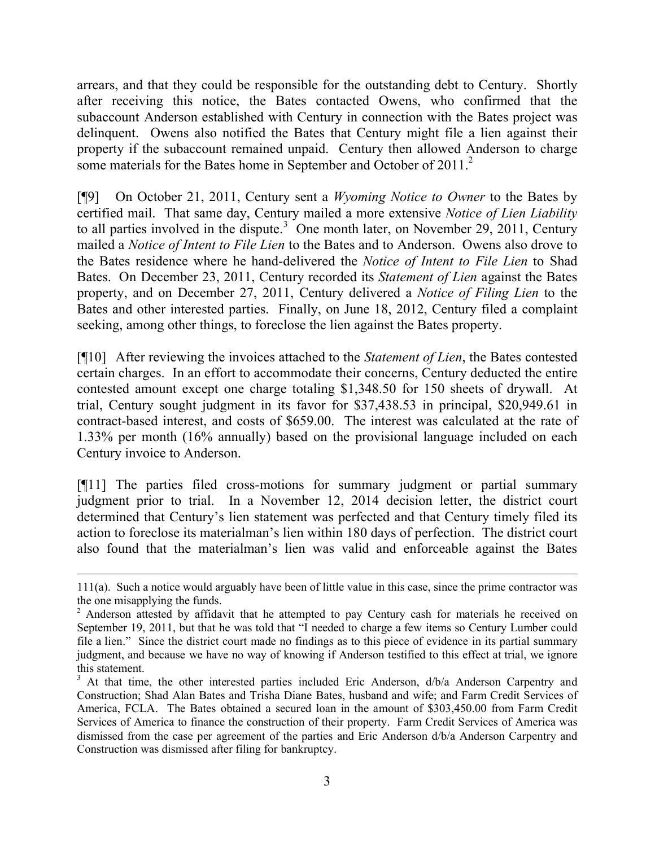arrears, and that they could be responsible for the outstanding debt to Century. Shortly after receiving this notice, the Bates contacted Owens, who confirmed that the subaccount Anderson established with Century in connection with the Bates project was delinquent. Owens also notified the Bates that Century might file a lien against their property if the subaccount remained unpaid. Century then allowed Anderson to charge some materials for the Bates home in September and October of 2011.<sup>2</sup>

[¶9] On October 21, 2011, Century sent a *Wyoming Notice to Owner* to the Bates by certified mail. That same day, Century mailed a more extensive *Notice of Lien Liability* to all parties involved in the dispute.<sup>3</sup> One month later, on November 29, 2011, Century mailed a *Notice of Intent to File Lien* to the Bates and to Anderson. Owens also drove to the Bates residence where he hand-delivered the *Notice of Intent to File Lien* to Shad Bates. On December 23, 2011, Century recorded its *Statement of Lien* against the Bates property, and on December 27, 2011, Century delivered a *Notice of Filing Lien* to the Bates and other interested parties. Finally, on June 18, 2012, Century filed a complaint seeking, among other things, to foreclose the lien against the Bates property.

[¶10] After reviewing the invoices attached to the *Statement of Lien*, the Bates contested certain charges. In an effort to accommodate their concerns, Century deducted the entire contested amount except one charge totaling \$1,348.50 for 150 sheets of drywall. At trial, Century sought judgment in its favor for \$37,438.53 in principal, \$20,949.61 in contract-based interest, and costs of \$659.00. The interest was calculated at the rate of 1.33% per month (16% annually) based on the provisional language included on each Century invoice to Anderson.

[¶11] The parties filed cross-motions for summary judgment or partial summary judgment prior to trial. In a November 12, 2014 decision letter, the district court determined that Century's lien statement was perfected and that Century timely filed its action to foreclose its materialman's lien within 180 days of perfection. The district court also found that the materialman's lien was valid and enforceable against the Bates

 $\overline{a}$ 

<sup>111(</sup>a). Such a notice would arguably have been of little value in this case, since the prime contractor was the one misapplying the funds.

<sup>&</sup>lt;sup>2</sup> Anderson attested by affidavit that he attempted to pay Century cash for materials he received on September 19, 2011, but that he was told that "I needed to charge a few items so Century Lumber could file a lien." Since the district court made no findings as to this piece of evidence in its partial summary judgment, and because we have no way of knowing if Anderson testified to this effect at trial, we ignore this statement.

<sup>&</sup>lt;sup>3</sup> At that time, the other interested parties included Eric Anderson, d/b/a Anderson Carpentry and Construction; Shad Alan Bates and Trisha Diane Bates, husband and wife; and Farm Credit Services of America, FCLA. The Bates obtained a secured loan in the amount of \$303,450.00 from Farm Credit Services of America to finance the construction of their property. Farm Credit Services of America was dismissed from the case per agreement of the parties and Eric Anderson d/b/a Anderson Carpentry and Construction was dismissed after filing for bankruptcy.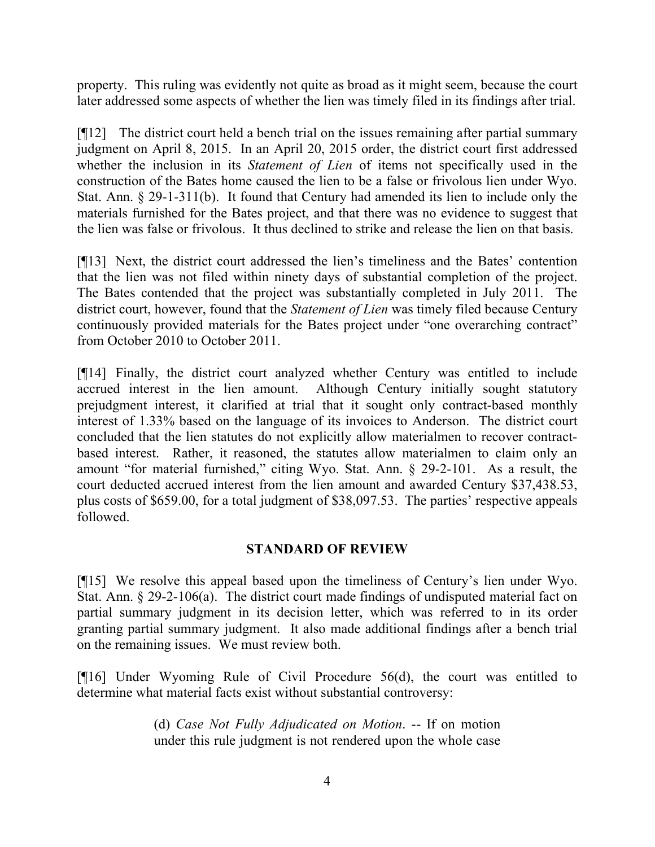property. This ruling was evidently not quite as broad as it might seem, because the court later addressed some aspects of whether the lien was timely filed in its findings after trial.

[¶12] The district court held a bench trial on the issues remaining after partial summary judgment on April 8, 2015. In an April 20, 2015 order, the district court first addressed whether the inclusion in its *Statement of Lien* of items not specifically used in the construction of the Bates home caused the lien to be a false or frivolous lien under Wyo. Stat. Ann. § 29-1-311(b). It found that Century had amended its lien to include only the materials furnished for the Bates project, and that there was no evidence to suggest that the lien was false or frivolous. It thus declined to strike and release the lien on that basis.

[¶13] Next, the district court addressed the lien's timeliness and the Bates' contention that the lien was not filed within ninety days of substantial completion of the project. The Bates contended that the project was substantially completed in July 2011. The district court, however, found that the *Statement of Lien* was timely filed because Century continuously provided materials for the Bates project under "one overarching contract" from October 2010 to October 2011.

[¶14] Finally, the district court analyzed whether Century was entitled to include accrued interest in the lien amount. Although Century initially sought statutory prejudgment interest, it clarified at trial that it sought only contract-based monthly interest of 1.33% based on the language of its invoices to Anderson. The district court concluded that the lien statutes do not explicitly allow materialmen to recover contractbased interest. Rather, it reasoned, the statutes allow materialmen to claim only an amount "for material furnished," citing Wyo. Stat. Ann. § 29-2-101. As a result, the court deducted accrued interest from the lien amount and awarded Century \$37,438.53, plus costs of \$659.00, for a total judgment of \$38,097.53. The parties' respective appeals followed.

### **STANDARD OF REVIEW**

[¶15] We resolve this appeal based upon the timeliness of Century's lien under Wyo. Stat. Ann. § 29-2-106(a). The district court made findings of undisputed material fact on partial summary judgment in its decision letter, which was referred to in its order granting partial summary judgment. It also made additional findings after a bench trial on the remaining issues. We must review both.

[¶16] Under Wyoming Rule of Civil Procedure 56(d), the court was entitled to determine what material facts exist without substantial controversy:

> (d) *Case Not Fully Adjudicated on Motion*. -- If on motion under this rule judgment is not rendered upon the whole case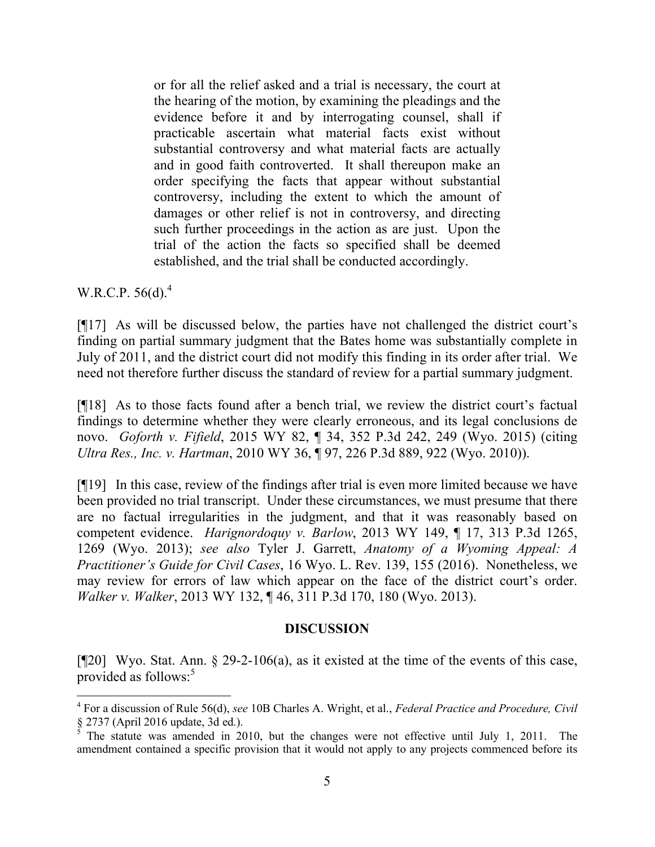or for all the relief asked and a trial is necessary, the court at the hearing of the motion, by examining the pleadings and the evidence before it and by interrogating counsel, shall if practicable ascertain what material facts exist without substantial controversy and what material facts are actually and in good faith controverted. It shall thereupon make an order specifying the facts that appear without substantial controversy, including the extent to which the amount of damages or other relief is not in controversy, and directing such further proceedings in the action as are just. Upon the trial of the action the facts so specified shall be deemed established, and the trial shall be conducted accordingly.

W.R.C.P.  $56(d)$ .<sup>4</sup>

 $\overline{a}$ 

[¶17] As will be discussed below, the parties have not challenged the district court's finding on partial summary judgment that the Bates home was substantially complete in July of 2011, and the district court did not modify this finding in its order after trial. We need not therefore further discuss the standard of review for a partial summary judgment.

[¶18] As to those facts found after a bench trial, we review the district court's factual findings to determine whether they were clearly erroneous, and its legal conclusions de novo. *Goforth v. Fifield*, 2015 WY 82, ¶ 34, 352 P.3d 242, 249 (Wyo. 2015) (citing *Ultra Res., Inc. v. Hartman*, 2010 WY 36, ¶ 97, 226 P.3d 889, 922 (Wyo. 2010)).

[¶19] In this case, review of the findings after trial is even more limited because we have been provided no trial transcript. Under these circumstances, we must presume that there are no factual irregularities in the judgment, and that it was reasonably based on competent evidence. *Harignordoquy v. Barlow*, 2013 WY 149, ¶ 17, 313 P.3d 1265, 1269 (Wyo. 2013); *see also* Tyler J. Garrett, *Anatomy of a Wyoming Appeal: A Practitioner's Guide for Civil Cases*, 16 Wyo. L. Rev. 139, 155 (2016). Nonetheless, we may review for errors of law which appear on the face of the district court's order. *Walker v. Walker*, 2013 WY 132, ¶ 46, 311 P.3d 170, 180 (Wyo. 2013).

#### **DISCUSSION**

[¶20] Wyo. Stat. Ann. § 29-2-106(a), as it existed at the time of the events of this case, provided as follows: $5$ 

<sup>4</sup> For a discussion of Rule 56(d), *see* 10B Charles A. Wright, et al., *Federal Practice and Procedure, Civil* § 2737 (April 2016 update, 3d ed.).

 $5$  The statute was amended in 2010, but the changes were not effective until July 1, 2011. The amendment contained a specific provision that it would not apply to any projects commenced before its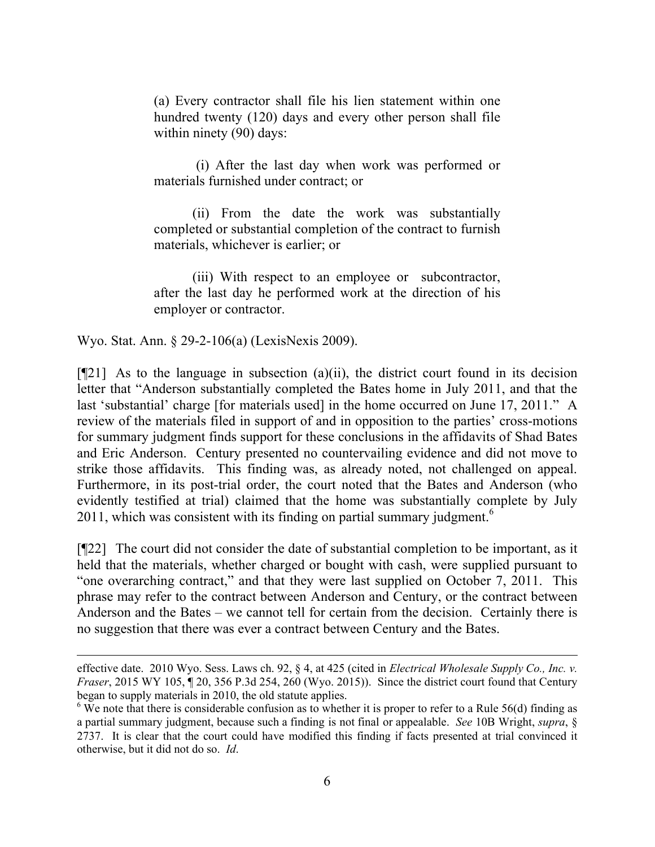(a) Every contractor shall file his lien statement within one hundred twenty (120) days and every other person shall file within ninety (90) days:

(i) After the last day when work was performed or materials furnished under contract; or

(ii) From the date the work was substantially completed or substantial completion of the contract to furnish materials, whichever is earlier; or

(iii) With respect to an employee or subcontractor, after the last day he performed work at the direction of his employer or contractor.

Wyo. Stat. Ann. § 29-2-106(a) (LexisNexis 2009).

 $\overline{a}$ 

 $[921]$  As to the language in subsection (a)(ii), the district court found in its decision letter that "Anderson substantially completed the Bates home in July 2011, and that the last 'substantial' charge [for materials used] in the home occurred on June 17, 2011." A review of the materials filed in support of and in opposition to the parties' cross-motions for summary judgment finds support for these conclusions in the affidavits of Shad Bates and Eric Anderson. Century presented no countervailing evidence and did not move to strike those affidavits. This finding was, as already noted, not challenged on appeal. Furthermore, in its post-trial order, the court noted that the Bates and Anderson (who evidently testified at trial) claimed that the home was substantially complete by July 2011, which was consistent with its finding on partial summary judgment.<sup>6</sup>

[¶22] The court did not consider the date of substantial completion to be important, as it held that the materials, whether charged or bought with cash, were supplied pursuant to "one overarching contract," and that they were last supplied on October 7, 2011. This phrase may refer to the contract between Anderson and Century, or the contract between Anderson and the Bates – we cannot tell for certain from the decision. Certainly there is no suggestion that there was ever a contract between Century and the Bates.

effective date. 2010 Wyo. Sess. Laws ch. 92, § 4, at 425 (cited in *Electrical Wholesale Supply Co., Inc. v. Fraser*, 2015 WY 105, ¶ 20, 356 P.3d 254, 260 (Wyo. 2015)). Since the district court found that Century began to supply materials in 2010, the old statute applies.

<sup>&</sup>lt;sup>6</sup> We note that there is considerable confusion as to whether it is proper to refer to a Rule 56(d) finding as a partial summary judgment, because such a finding is not final or appealable. *See* 10B Wright, *supra*, § 2737. It is clear that the court could have modified this finding if facts presented at trial convinced it otherwise, but it did not do so. *Id*.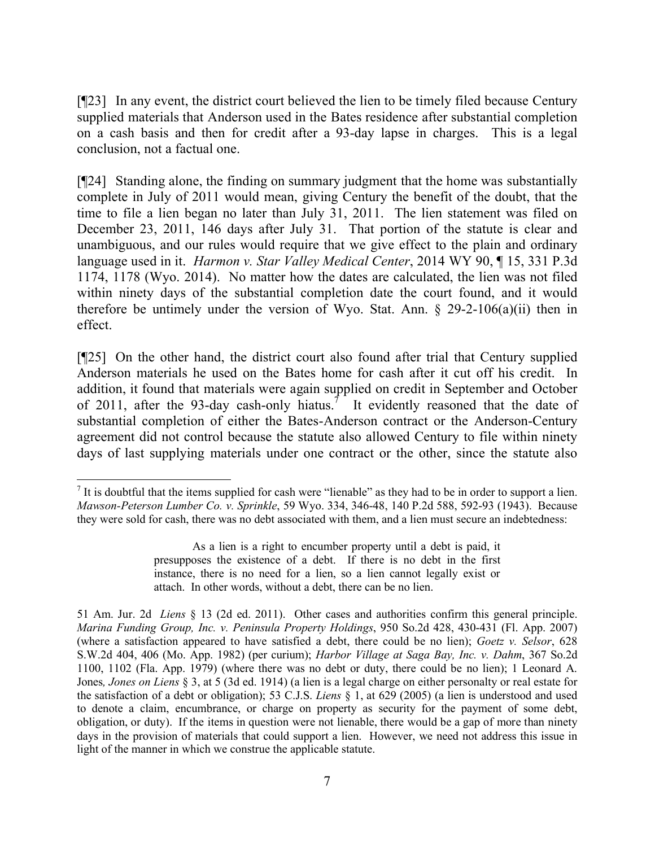[¶23] In any event, the district court believed the lien to be timely filed because Century supplied materials that Anderson used in the Bates residence after substantial completion on a cash basis and then for credit after a 93-day lapse in charges. This is a legal conclusion, not a factual one.

[¶24] Standing alone, the finding on summary judgment that the home was substantially complete in July of 2011 would mean, giving Century the benefit of the doubt, that the time to file a lien began no later than July 31, 2011. The lien statement was filed on December 23, 2011, 146 days after July 31. That portion of the statute is clear and unambiguous, and our rules would require that we give effect to the plain and ordinary language used in it. *Harmon v. Star Valley Medical Center*, 2014 WY 90, ¶ 15, 331 P.3d 1174, 1178 (Wyo. 2014). No matter how the dates are calculated, the lien was not filed within ninety days of the substantial completion date the court found, and it would therefore be untimely under the version of Wyo. Stat. Ann.  $\S$  29-2-106(a)(ii) then in effect.

[¶25] On the other hand, the district court also found after trial that Century supplied Anderson materials he used on the Bates home for cash after it cut off his credit. In addition, it found that materials were again supplied on credit in September and October of 2011, after the 93-day cash-only hiatus.<sup>7</sup> It evidently reasoned that the date of substantial completion of either the Bates-Anderson contract or the Anderson-Century agreement did not control because the statute also allowed Century to file within ninety days of last supplying materials under one contract or the other, since the statute also

 $\overline{a}$ 

<sup>&</sup>lt;sup>7</sup> It is doubtful that the items supplied for cash were "lienable" as they had to be in order to support a lien. *Mawson-Peterson Lumber Co. v. Sprinkle*, 59 Wyo. 334, 346-48, 140 P.2d 588, 592-93 (1943). Because they were sold for cash, there was no debt associated with them, and a lien must secure an indebtedness:

As a lien is a right to encumber property until a debt is paid, it presupposes the existence of a debt. If there is no debt in the first instance, there is no need for a lien, so a lien cannot legally exist or attach. In other words, without a debt, there can be no lien.

<sup>51</sup> Am. Jur. 2d *Liens* § 13 (2d ed. 2011). Other cases and authorities confirm this general principle. *Marina Funding Group, Inc. v. Peninsula Property Holdings*, 950 So.2d 428, 430-431 (Fl. App. 2007) (where a satisfaction appeared to have satisfied a debt, there could be no lien); *Goetz v. Selsor*, 628 S.W.2d 404, 406 (Mo. App. 1982) (per curium); *Harbor Village at Saga Bay, Inc. v. Dahm*, 367 So.2d 1100, 1102 (Fla. App. 1979) (where there was no debt or duty, there could be no lien); 1 Leonard A. Jones*, Jones on Liens* § 3, at 5 (3d ed. 1914) (a lien is a legal charge on either personalty or real estate for the satisfaction of a debt or obligation); 53 C.J.S. *Liens* § 1, at 629 (2005) (a lien is understood and used to denote a claim, encumbrance, or charge on property as security for the payment of some debt, obligation, or duty). If the items in question were not lienable, there would be a gap of more than ninety days in the provision of materials that could support a lien. However, we need not address this issue in light of the manner in which we construe the applicable statute.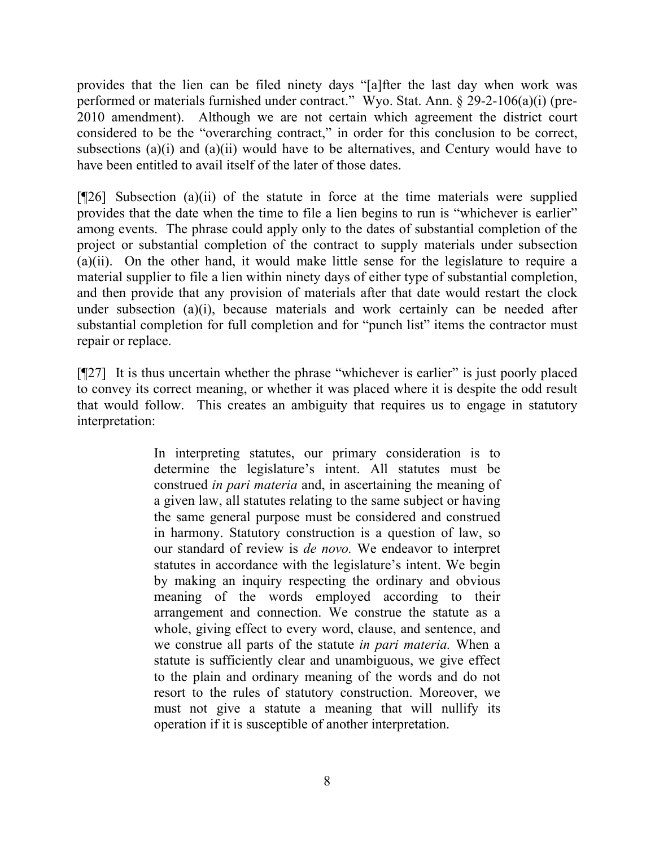provides that the lien can be filed ninety days "[a]fter the last day when work was performed or materials furnished under contract." Wyo. Stat. Ann. § 29-2-106(a)(i) (pre-2010 amendment). Although we are not certain which agreement the district court considered to be the "overarching contract," in order for this conclusion to be correct, subsections (a)(i) and (a)(ii) would have to be alternatives, and Century would have to have been entitled to avail itself of the later of those dates.

 $[$ [[26] Subsection (a)(ii) of the statute in force at the time materials were supplied provides that the date when the time to file a lien begins to run is "whichever is earlier" among events. The phrase could apply only to the dates of substantial completion of the project or substantial completion of the contract to supply materials under subsection (a)(ii). On the other hand, it would make little sense for the legislature to require a material supplier to file a lien within ninety days of either type of substantial completion, and then provide that any provision of materials after that date would restart the clock under subsection (a)(i), because materials and work certainly can be needed after substantial completion for full completion and for "punch list" items the contractor must repair or replace.

[¶27] It is thus uncertain whether the phrase "whichever is earlier" is just poorly placed to convey its correct meaning, or whether it was placed where it is despite the odd result that would follow. This creates an ambiguity that requires us to engage in statutory interpretation:

> In interpreting statutes, our primary consideration is to determine the legislature's intent. All statutes must be construed *in pari materia* and, in ascertaining the meaning of a given law, all statutes relating to the same subject or having the same general purpose must be considered and construed in harmony. Statutory construction is a question of law, so our standard of review is *de novo.* We endeavor to interpret statutes in accordance with the legislature's intent. We begin by making an inquiry respecting the ordinary and obvious meaning of the words employed according to their arrangement and connection. We construe the statute as a whole, giving effect to every word, clause, and sentence, and we construe all parts of the statute *in pari materia.* When a statute is sufficiently clear and unambiguous, we give effect to the plain and ordinary meaning of the words and do not resort to the rules of statutory construction. Moreover, we must not give a statute a meaning that will nullify its operation if it is susceptible of another interpretation.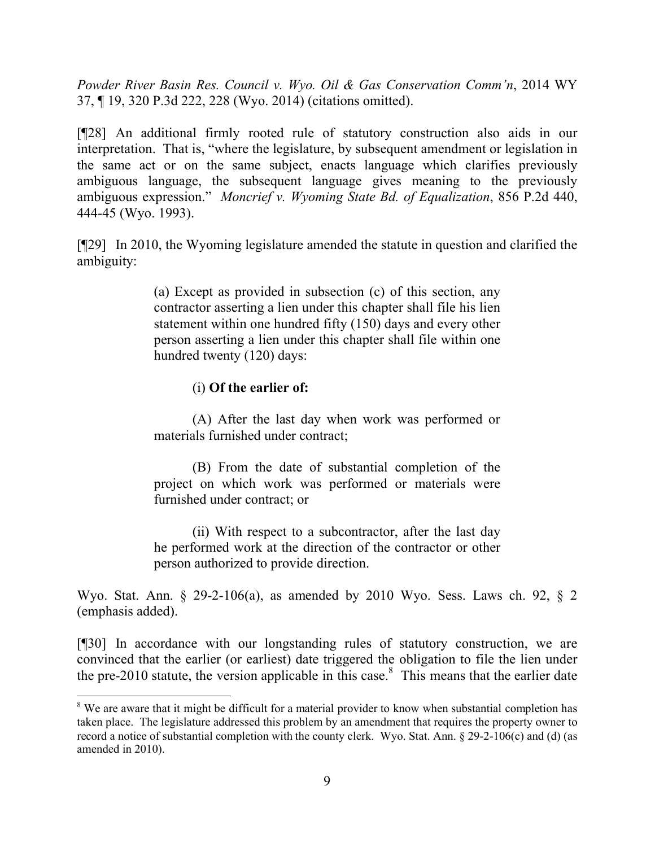*Powder River Basin Res. Council v. Wyo. Oil & Gas Conservation Comm'n*, 2014 WY 37, ¶ 19, 320 P.3d 222, 228 (Wyo. 2014) (citations omitted).

[¶28] An additional firmly rooted rule of statutory construction also aids in our interpretation. That is, "where the legislature, by subsequent amendment or legislation in the same act or on the same subject, enacts language which clarifies previously ambiguous language, the subsequent language gives meaning to the previously ambiguous expression." *Moncrief v. Wyoming State Bd. of Equalization*, 856 P.2d 440, 444-45 (Wyo. 1993).

[¶29] In 2010, the Wyoming legislature amended the statute in question and clarified the ambiguity:

> (a) Except as provided in subsection (c) of this section, any contractor asserting a lien under this chapter shall file his lien statement within one hundred fifty (150) days and every other person asserting a lien under this chapter shall file within one hundred twenty (120) days:

#### (i) **Of the earlier of:**

 $\overline{a}$ 

(A) After the last day when work was performed or materials furnished under contract;

(B) From the date of substantial completion of the project on which work was performed or materials were furnished under contract; or

(ii) With respect to a subcontractor, after the last day he performed work at the direction of the contractor or other person authorized to provide direction.

Wyo. Stat. Ann. § 29-2-106(a), as amended by 2010 Wyo. Sess. Laws ch. 92, § 2 (emphasis added).

[¶30] In accordance with our longstanding rules of statutory construction, we are convinced that the earlier (or earliest) date triggered the obligation to file the lien under the pre-2010 statute, the version applicable in this case. 8 This means that the earlier date

<sup>&</sup>lt;sup>8</sup> We are aware that it might be difficult for a material provider to know when substantial completion has taken place. The legislature addressed this problem by an amendment that requires the property owner to record a notice of substantial completion with the county clerk. Wyo. Stat. Ann. § 29-2-106(c) and (d) (as amended in 2010).